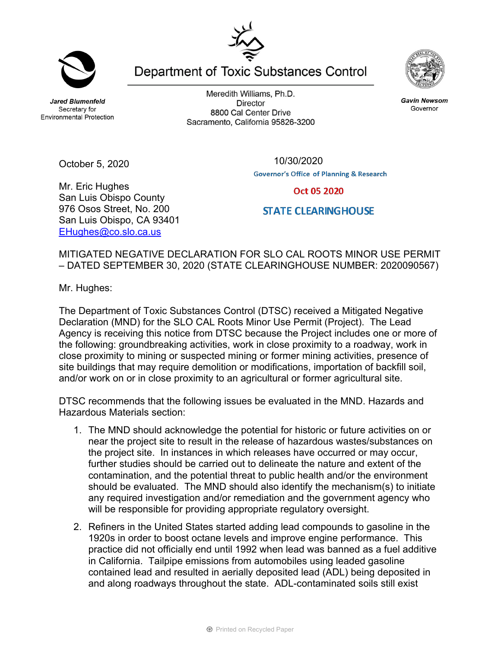**Jared Blumenfeld** Secretary for **Environmental Protection** 

October 5, 2020

Mr. Eric Hughes

San Luis Obispo County 976 Osos Street, No. 200 San Luis Obispo, CA 93401 EHughes@co.slo.ca.us

Meredith Williams, Ph.D. **Director** 8800 Cal Center Drive Sacramento, California 95826-3200

Department of Toxic Substances Control



Oct 05 2020

## **STATE CLEARINGHOUSE**

MITIGATED NEGATIVE DECLARATION FOR SLO CAL ROOTS MINOR USE PERMIT – DATED SEPTEMBER 30, 2020 (STATE CLEARINGHOUSE NUMBER: 2020090567)

Mr. Hughes:

The Department of Toxic Substances Control (DTSC) received a Mitigated Negative Declaration (MND) for the SLO CAL Roots Minor Use Permit (Project). The Lead Agency is receiving this notice from DTSC because the Project includes one or more of the following: groundbreaking activities, work in close proximity to a roadway, work in close proximity to mining or suspected mining or former mining activities, presence of site buildings that may require demolition or modifications, importation of backfill soil, and/or work on or in close proximity to an agricultural or former agricultural site.

DTSC recommends that the following issues be evaluated in the MND. Hazards and Hazardous Materials section:

- 1. The MND should acknowledge the potential for historic or future activities on or near the project site to result in the release of hazardous wastes/substances on the project site. In instances in which releases have occurred or may occur, further studies should be carried out to delineate the nature and extent of the contamination, and the potential threat to public health and/or the environment should be evaluated. The MND should also identify the mechanism(s) to initiate any required investigation and/or remediation and the government agency who will be responsible for providing appropriate regulatory oversight.
- 2. Refiners in the United States started adding lead compounds to gasoline in the 1920s in order to boost octane levels and improve engine performance. This practice did not officially end until 1992 when lead was banned as a fuel additive in California. Tailpipe emissions from automobiles using leaded gasoline contained lead and resulted in aerially deposited lead (ADL) being deposited in and along roadways throughout the state. ADL-contaminated soils still exist



**Gavin Newsom** 

Governor

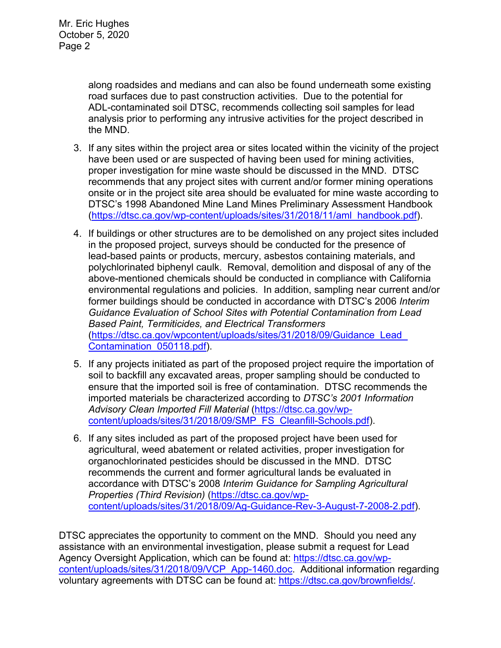along roadsides and medians and can also be found underneath some existing road surfaces due to past construction activities. Due to the potential for ADL-contaminated soil DTSC, recommends collecting soil samples for lead analysis prior to performing any intrusive activities for the project described in the MND.

- 3. If any sites within the project area or sites located within the vicinity of the project have been used or are suspected of having been used for mining activities, proper investigation for mine waste should be discussed in the MND. DTSC recommends that any project sites with current and/or former mining operations onsite or in the project site area should be evaluated for mine waste according to DTSC's 1998 Abandoned Mine Land Mines Preliminary Assessment Handbook (https://dtsc.ca.gov/wp-content/uploads/sites/31/2018/11/aml\_handbook.pdf).
- 4. If buildings or other structures are to be demolished on any project sites included in the proposed project, surveys should be conducted for the presence of lead-based paints or products, mercury, asbestos containing materials, and polychlorinated biphenyl caulk. Removal, demolition and disposal of any of the above-mentioned chemicals should be conducted in compliance with California environmental regulations and policies. In addition, sampling near current and/or former buildings should be conducted in accordance with DTSC's 2006 *Interim Guidance Evaluation of School Sites with Potential Contamination from Lead Based Paint, Termiticides, and Electrical Transformers*  (https://dtsc.ca.gov/wpcontent/uploads/sites/31/2018/09/Guidance\_Lead\_ Contamination\_050118.pdf).
- 5. If any projects initiated as part of the proposed project require the importation of soil to backfill any excavated areas, proper sampling should be conducted to ensure that the imported soil is free of contamination. DTSC recommends the imported materials be characterized according to *DTSC's 2001 Information Advisory Clean Imported Fill Material* (https://dtsc.ca.gov/wpcontent/uploads/sites/31/2018/09/SMP\_FS\_Cleanfill-Schools.pdf).
- 6. If any sites included as part of the proposed project have been used for agricultural, weed abatement or related activities, proper investigation for organochlorinated pesticides should be discussed in the MND. DTSC recommends the current and former agricultural lands be evaluated in accordance with DTSC's 2008 *Interim Guidance for Sampling Agricultural Properties (Third Revision)* (https://dtsc.ca.gov/wpcontent/uploads/sites/31/2018/09/Ag-Guidance-Rev-3-August-7-2008-2.pdf).

DTSC appreciates the opportunity to comment on the MND. Should you need any assistance with an environmental investigation, please submit a request for Lead Agency Oversight Application, which can be found at: https://dtsc.ca.gov/wpcontent/uploads/sites/31/2018/09/VCP\_App-1460.doc. Additional information regarding voluntary agreements with DTSC can be found at: https://dtsc.ca.gov/brownfields/.